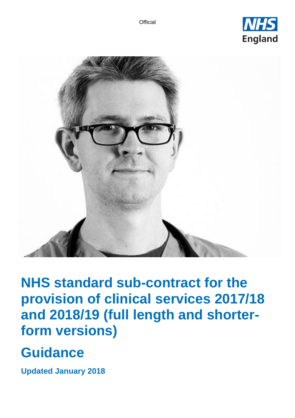



**NHS standard sub-contract for the provision of clinical services 2017/18 and 2018/19 (full length and shorterform versions)**

# **Guidance**

**Updated January 2018**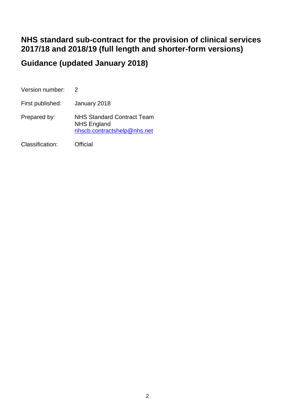# **NHS standard sub-contract for the provision of clinical services 2017/18 and 2018/19 (full length and shorter-form versions)**

# **Guidance (updated January 2018)**

| Version number:  |                                                                                        |
|------------------|----------------------------------------------------------------------------------------|
| First published: | January 2018                                                                           |
| Prepared by:     | <b>NHS Standard Contract Team</b><br><b>NHS England</b><br>nhscb.contractshelp@nhs.net |
| Classification:  | Official                                                                               |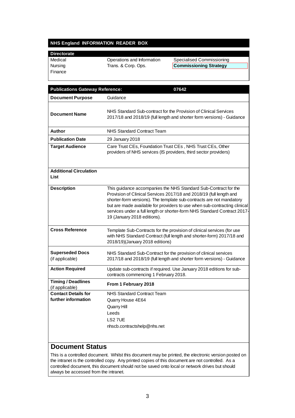# **NHS England INFORMATION READER BOX**

| <b>Directorate</b> |                            |                               |
|--------------------|----------------------------|-------------------------------|
| Medical            | Operations and Information | Specialised Commissioning     |
| Nursing            | Trans. & Corp. Ops.        | <b>Commissioning Strategy</b> |
| <b>Finance</b>     |                            |                               |

| <b>Publications Gateway Reference:</b><br>07642                                                                                                                                                                                                                                                                                                                                                        |
|--------------------------------------------------------------------------------------------------------------------------------------------------------------------------------------------------------------------------------------------------------------------------------------------------------------------------------------------------------------------------------------------------------|
| Guidance                                                                                                                                                                                                                                                                                                                                                                                               |
| NHS Standard Sub-contract for the Provision of Clinical Services<br>2017/18 and 2018/19 (full length and shorter form versions) - Guidance                                                                                                                                                                                                                                                             |
| NHS Standard Contract Team                                                                                                                                                                                                                                                                                                                                                                             |
| 29 January 2018                                                                                                                                                                                                                                                                                                                                                                                        |
| Care Trust CEs, Foundation Trust CEs, NHS Trust CEs, Other<br>providers of NHS services (IS providers, third sector providers)                                                                                                                                                                                                                                                                         |
|                                                                                                                                                                                                                                                                                                                                                                                                        |
| This guidance accompanies the NHS Standard Sub-Contract for the<br>Provision of Clinical Services 2017/18 and 2018/19 (full length and<br>shorter-form versions). The template sub-contracts are not mandatory<br>but are made available for providers to use when sub-contracting clinical<br>services under a full length or shorter-form NHS Standard Contract 2017-<br>19 (January 2018 editions). |
| Template Sub-Contracts for the provision of clinical services (for use<br>with NHS Standard Contract (full length and shorter-form) 2017/18 and<br>2018/19)(January 2018 editions)                                                                                                                                                                                                                     |
| NHS Standard Sub-Contract for the provision of clinical services<br>2017/18 and 2018/19 (full length and shorter form versions) - Guidance                                                                                                                                                                                                                                                             |
| Update sub-contracts if required. Use January 2018 editions for sub-<br>contracts commencing 1 February 2018.                                                                                                                                                                                                                                                                                          |
| From 1 February 2018                                                                                                                                                                                                                                                                                                                                                                                   |
| <b>NHS Standard Contract Team</b><br>Quarry House 4E64<br>Quarry Hill<br>Leeds<br>LS27UE<br>nhscb.contractshelp@nhs.net                                                                                                                                                                                                                                                                                |
|                                                                                                                                                                                                                                                                                                                                                                                                        |

# **Document Status**

This is a controlled document. Whilst this document may be printed, the electronic version posted on the intranet is the controlled copy. Any printed copies of this document are not controlled. As a controlled document, this document should not be saved onto local or network drives but should always be accessed from the intranet.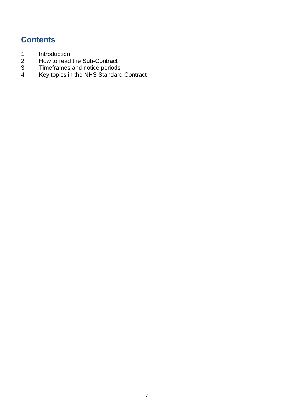# **Contents**

- 
- How to read the Sub-Contract
- [Introduction](#page-4-0)<br>
2 How to read<br>
3 Timeframes<br>
4 Kev topics in [Timeframes and notice periods](#page-19-0)
- [Key topics in the NHS Standard Contract](#page-24-0)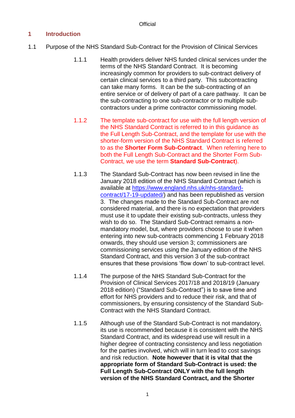# <span id="page-4-0"></span>**1 Introduction**

- 1.1 Purpose of the NHS Standard Sub-Contract for the Provision of Clinical Services
	- 1.1.1 Health providers deliver NHS funded clinical services under the terms of the NHS Standard Contract. It is becoming increasingly common for providers to sub-contract delivery of certain clinical services to a third party. This subcontracting can take many forms. It can be the sub-contracting of an entire service or of delivery of part of a care pathway. It can be the sub-contracting to one sub-contractor or to multiple subcontractors under a prime contractor commissioning model.
	- 1.1.2 The template sub-contract for use with the full length version of the NHS Standard Contract is referred to in this guidance as the Full Length Sub-Contract, and the template for use with the shorter-form version of the NHS Standard Contract is referred to as the **Shorter Form Sub-Contract**. When referring here to both the Full Length Sub-Contract and the Shorter Form Sub-Contract, we use the term **Standard Sub-Contract**).
	- 1.1.3 The Standard Sub-Contract has now been revised in line the January 2018 edition of the NHS Standard Contract (which is available at [https://www.england.nhs.uk/nhs-standard](https://www.england.nhs.uk/nhs-standard-contract/17-19-updated/)[contract/17-19-updated/\)](https://www.england.nhs.uk/nhs-standard-contract/17-19-updated/) and has been republished as version 3. The changes made to the Standard Sub-Contract are not considered material, and there is no expectation that providers must use it to update their existing sub-contracts, unless they wish to do so. The Standard Sub-Contract remains a nonmandatory model, but, where providers choose to use it when entering into new sub-contracts commencing 1 February 2018 onwards, they should use version 3; commissioners are commissioning services using the January edition of the NHS Standard Contract, and this version 3 of the sub-contract ensures that these provisions 'flow down' to sub-contract level.
	- 1.1.4 The purpose of the NHS Standard Sub-Contract for the Provision of Clinical Services 2017/18 and 2018/19 (January 2018 edition) ("Standard Sub-Contract") is to save time and effort for NHS providers and to reduce their risk, and that of commissioners, by ensuring consistency of the Standard Sub-Contract with the NHS Standard Contract.
	- 1.1.5 Although use of the Standard Sub-Contract is not mandatory, its use is recommended because it is consistent with the NHS Standard Contract, and its widespread use will result in a higher degree of contracting consistency and less negotiation for the parties involved, which will in turn lead to cost savings and risk reduction. **Note however that it is vital that the appropriate form of Standard Sub-Contract is used: the Full Length Sub-Contract ONLY with the full length version of the NHS Standard Contract, and the Shorter**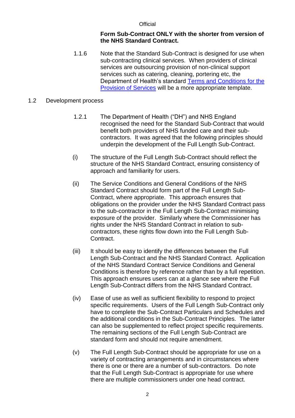#### **Form Sub-Contract ONLY with the shorter from version of the NHS Standard Contract.**

1.1.6 Note that the Standard Sub-Contract is designed for use when sub-contracting clinical services. When providers of clinical services are outsourcing provision of non-clinical support services such as catering, cleaning, portering etc, the Department of Health's standard [Terms and Conditions](https://www.gov.uk/government/publications/nhs-standard-terms-and-conditions-of-contract-for-the-purchase-of-goods-and-supply-of-services) for the [Provision of](https://www.gov.uk/government/publications/nhs-standard-terms-and-conditions-of-contract-for-the-purchase-of-goods-and-supply-of-services) Services will be a more appropriate template.

#### 1.2 Development process

- 1.2.1 The Department of Health ("DH") and NHS England recognised the need for the Standard Sub-Contract that would benefit both providers of NHS funded care and their subcontractors. It was agreed that the following principles should underpin the development of the Full Length Sub-Contract.
- (i) The structure of the Full Length Sub-Contract should reflect the structure of the NHS Standard Contract, ensuring consistency of approach and familiarity for users.
- (ii) The Service Conditions and General Conditions of the NHS Standard Contract should form part of the Full Length Sub-Contract, where appropriate. This approach ensures that obligations on the provider under the NHS Standard Contract pass to the sub-contractor in the Full Length Sub-Contract minimising exposure of the provider. Similarly where the Commissioner has rights under the NHS Standard Contract in relation to subcontractors, these rights flow down into the Full Length Sub-Contract.
- (iii) It should be easy to identify the differences between the Full Length Sub-Contract and the NHS Standard Contract. Application of the NHS Standard Contract Service Conditions and General Conditions is therefore by reference rather than by a full repetition. This approach ensures users can at a glance see where the Full Length Sub-Contract differs from the NHS Standard Contract.
- (iv) Ease of use as well as sufficient flexibility to respond to project specific requirements. Users of the Full Length Sub-Contract only have to complete the Sub-Contract Particulars and Schedules and the additional conditions in the Sub-Contract Principles. The latter can also be supplemented to reflect project specific requirements. The remaining sections of the Full Length Sub-Contract are standard form and should not require amendment.
- (v) The Full Length Sub-Contract should be appropriate for use on a variety of contracting arrangements and in circumstances where there is one or there are a number of sub-contractors. Do note that the Full Length Sub-Contract is appropriate for use where there are multiple commissioners under one head contract.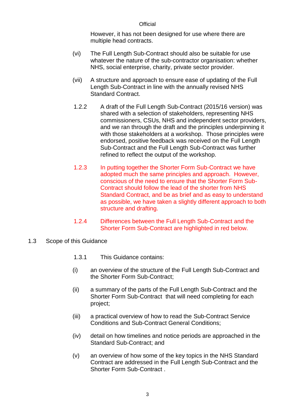However, it has not been designed for use where there are multiple head contracts.

- (vi) The Full Length Sub-Contract should also be suitable for use whatever the nature of the sub-contractor organisation: whether NHS, social enterprise, charity, private sector provider.
- (vii) A structure and approach to ensure ease of updating of the Full Length Sub-Contract in line with the annually revised NHS Standard Contract.
- 1.2.2 A draft of the Full Length Sub-Contract (2015/16 version) was shared with a selection of stakeholders, representing NHS commissioners, CSUs, NHS and independent sector providers, and we ran through the draft and the principles underpinning it with those stakeholders at a workshop. Those principles were endorsed, positive feedback was received on the Full Length Sub-Contract and the Full Length Sub-Contract was further refined to reflect the output of the workshop.
- 1.2.3 In putting together the Shorter Form Sub-Contract we have adopted much the same principles and approach. However, conscious of the need to ensure that the Shorter Form Sub-Contract should follow the lead of the shorter from NHS Standard Contract, and be as brief and as easy to understand as possible, we have taken a slightly different approach to both structure and drafting.
- 1.2.4 Differences between the Full Length Sub-Contract and the Shorter Form Sub-Contract are highlighted in red below.
- 1.3 Scope of this Guidance
	- 1.3.1 This Guidance contains:
	- (i) an overview of the structure of the Full Length Sub-Contract and the Shorter Form Sub-Contract;
	- (ii) a summary of the parts of the Full Length Sub-Contract and the Shorter Form Sub-Contract that will need completing for each project;
	- (iii) a practical overview of how to read the Sub-Contract Service Conditions and Sub-Contract General Conditions;
	- (iv) detail on how timelines and notice periods are approached in the Standard Sub-Contract; and
	- (v) an overview of how some of the key topics in the NHS Standard Contract are addressed in the Full Length Sub-Contract and the Shorter Form Sub-Contract .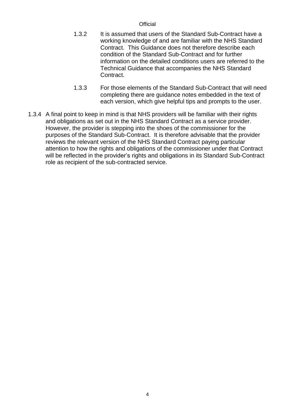- 1.3.2 It is assumed that users of the Standard Sub-Contract have a working knowledge of and are familiar with the NHS Standard Contract. This Guidance does not therefore describe each condition of the Standard Sub-Contract and for further information on the detailed conditions users are referred to the Technical Guidance that accompanies the NHS Standard Contract.
- 1.3.3 For those elements of the Standard Sub-Contract that will need completing there are guidance notes embedded in the text of each version, which give helpful tips and prompts to the user.
- 1.3.4 A final point to keep in mind is that NHS providers will be familiar with their rights and obligations as set out in the NHS Standard Contract as a service provider. However, the provider is stepping into the shoes of the commissioner for the purposes of the Standard Sub-Contract. It is therefore advisable that the provider reviews the relevant version of the NHS Standard Contract paying particular attention to how the rights and obligations of the commissioner under that Contract will be reflected in the provider's rights and obligations in its Standard Sub-Contract role as recipient of the sub-contracted service.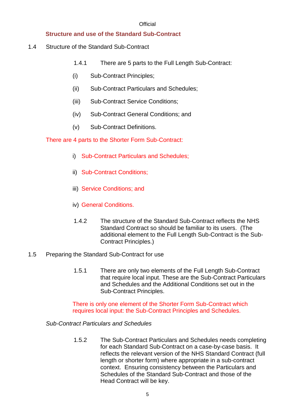# **Structure and use of the Standard Sub-Contract**

- 1.4 Structure of the Standard Sub-Contract
	- 1.4.1 There are 5 parts to the Full Length Sub-Contract:
	- (i) Sub-Contract Principles;
	- (ii) Sub-Contract Particulars and Schedules;
	- (iii) Sub-Contract Service Conditions;
	- (iv) Sub-Contract General Conditions; and
	- (v) Sub-Contract Definitions.

There are 4 parts to the Shorter Form Sub-Contract:

- i) Sub-Contract Particulars and Schedules;
- ii) Sub-Contract Conditions;
- iii) Service Conditions; and
- iv) General Conditions.
- 1.4.2 The structure of the Standard Sub-Contract reflects the NHS Standard Contract so should be familiar to its users. (The additional element to the Full Length Sub-Contract is the Sub-Contract Principles.)
- 1.5 Preparing the Standard Sub-Contract for use
	- 1.5.1 There are only two elements of the Full Length Sub-Contract that require local input. These are the Sub-Contract Particulars and Schedules and the Additional Conditions set out in the Sub-Contract Principles.

There is only one element of the Shorter Form Sub-Contract which requires local input: the Sub-Contract Principles and Schedules.

*Sub-Contract Particulars and Schedules*

1.5.2 The Sub-Contract Particulars and Schedules needs completing for each Standard Sub-Contract on a case-by-case basis. It reflects the relevant version of the NHS Standard Contract (full length or shorter form) where appropriate in a sub-contract context. Ensuring consistency between the Particulars and Schedules of the Standard Sub-Contract and those of the Head Contract will be key.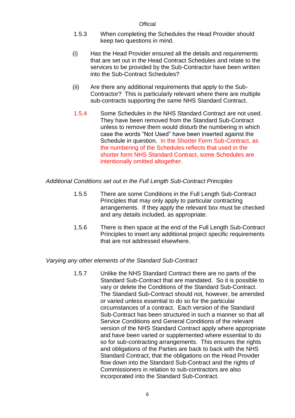- 1.5.3 When completing the Schedules the Head Provider should keep two questions in mind.
- (i) Has the Head Provider ensured all the details and requirements that are set out in the Head Contract Schedules and relate to the services to be provided by the Sub-Contractor have been written into the Sub-Contract Schedules?
- (ii) Are there any additional requirements that apply to the Sub-Contractor? This is particularly relevant where there are multiple sub-contracts supporting the same NHS Standard Contract.
- 1.5.4 Some Schedules in the NHS Standard Contract are not used. They have been removed from the Standard Sub-Contract unless to remove them would disturb the numbering in which case the words "Not Used" have been inserted against the Schedule in question. In the Shorter Form Sub-Contract, as the numbering of the Schedules reflects that used in the shorter form NHS Standard Contract, some Schedules are intentionally omitted altogether.

# *Additional Conditions set out in the Full Length Sub-Contract Principles*

- 1.5.5 There are some Conditions in the Full Length Sub-Contract Principles that may only apply to particular contracting arrangements. If they apply the relevant box must be checked and any details included, as appropriate.
- 1.5.6 There is then space at the end of the Full Length Sub-Contract Principles to insert any additional project specific requirements that are not addressed elsewhere.

#### *Varying any other elements of the Standard Sub-Contract*

1.5.7 Unlike the NHS Standard Contract there are no parts of the Standard Sub-Contract that are mandated. So it is possible to vary or delete the Conditions of the Standard Sub-Contract. The Standard Sub-Contract should not, however, be amended or varied unless essential to do so for the particular circumstances of a contract. Each version of the Standard Sub-Contract has been structured in such a manner so that all Service Conditions and General Conditions of the relevant version of the NHS Standard Contract apply where appropriate and have been varied or supplemented where essential to do so for sub-contracting arrangements. This ensures the rights and obligations of the Parties are back to back with the NHS Standard Contract, that the obligations on the Head Provider flow down into the Standard Sub-Contract and the rights of Commissioners in relation to sub-contractors are also incorporated into the Standard Sub-Contract.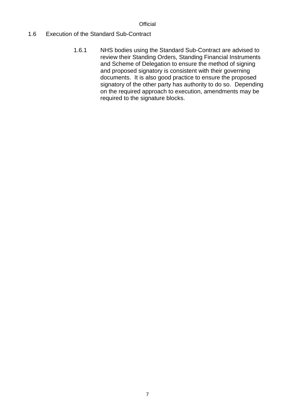# 1.6 Execution of the Standard Sub-Contract

1.6.1 NHS bodies using the Standard Sub-Contract are advised to review their Standing Orders, Standing Financial Instruments and Scheme of Delegation to ensure the method of signing and proposed signatory is consistent with their governing documents. It is also good practice to ensure the proposed signatory of the other party has authority to do so. Depending on the required approach to execution, amendments may be required to the signature blocks.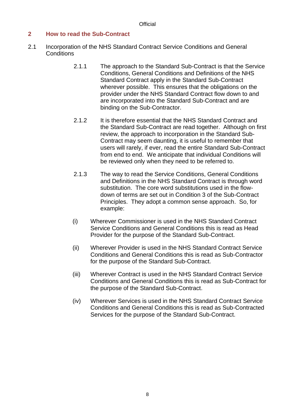## <span id="page-11-0"></span>**2 How to read the Sub-Contract**

- 2.1 Incorporation of the NHS Standard Contract Service Conditions and General **Conditions** 
	- 2.1.1 The approach to the Standard Sub-Contract is that the Service Conditions, General Conditions and Definitions of the NHS Standard Contract apply in the Standard Sub-Contract wherever possible. This ensures that the obligations on the provider under the NHS Standard Contract flow down to and are incorporated into the Standard Sub-Contract and are binding on the Sub-Contractor.
	- 2.1.2 It is therefore essential that the NHS Standard Contract and the Standard Sub-Contract are read together. Although on first review, the approach to incorporation in the Standard Sub-Contract may seem daunting, it is useful to remember that users will rarely, if ever, read the entire Standard Sub-Contract from end to end. We anticipate that individual Conditions will be reviewed only when they need to be referred to.
	- 2.1.3 The way to read the Service Conditions, General Conditions and Definitions in the NHS Standard Contract is through word substitution. The core word substitutions used in the flowdown of terms are set out in Condition 3 of the Sub-Contract Principles. They adopt a common sense approach. So, for example:
	- (i) Wherever Commissioner is used in the NHS Standard Contract Service Conditions and General Conditions this is read as Head Provider for the purpose of the Standard Sub-Contract.
	- (ii) Wherever Provider is used in the NHS Standard Contract Service Conditions and General Conditions this is read as Sub-Contractor for the purpose of the Standard Sub-Contract.
	- (iii) Wherever Contract is used in the NHS Standard Contract Service Conditions and General Conditions this is read as Sub-Contract for the purpose of the Standard Sub-Contract.
	- (iv) Wherever Services is used in the NHS Standard Contract Service Conditions and General Conditions this is read as Sub-Contracted Services for the purpose of the Standard Sub-Contract.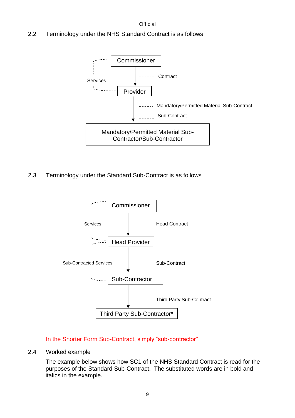2.2 Terminology under the NHS Standard Contract is as follows



2.3 Terminology under the Standard Sub-Contract is as follows



In the Shorter Form Sub-Contract, simply "sub-contractor"

#### 2.4 Worked example

The example below shows how SC1 of the NHS Standard Contract is read for the purposes of the Standard Sub-Contract. The substituted words are in bold and italics in the example.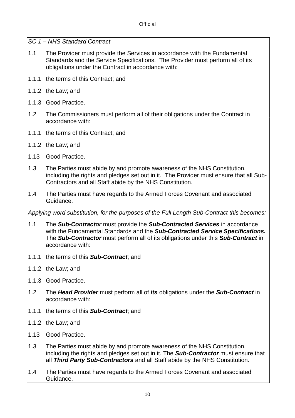*SC 1 – NHS Standard Contract*

- 1.1 The Provider must provide the Services in accordance with the Fundamental Standards and the Service Specifications. The Provider must perform all of its obligations under the Contract in accordance with:
- 1.1.1 the terms of this Contract; and
- 1.1.2 the Law; and
- 1.1.3 Good Practice.
- 1.2 The Commissioners must perform all of their obligations under the Contract in accordance with:
- 1.1.1 the terms of this Contract; and
- 1.1.2 the Law; and
- 1.13 Good Practice.
- 1.3 The Parties must abide by and promote awareness of the NHS Constitution, including the rights and pledges set out in it. The Provider must ensure that all Sub-Contractors and all Staff abide by the NHS Constitution.
- 1.4 The Parties must have regards to the Armed Forces Covenant and associated Guidance.

*Applying word substitution, for the purposes of the Full Length Sub-Contract this becomes:*

- 1.1 The *Sub-Contractor* must provide the *Sub-Contracted Services* in accordance with the Fundamental Standards and the *Sub-Contracted Service Specifications.* The *Sub-Contractor* must perform all of its obligations under this *Sub-Contract* in accordance with:
- 1.1.1 the terms of this *Sub-Contract*; and
- 1.1.2 the Law; and
- 1.1.3 Good Practice.
- 1.2 The *Head Provider* must perform all of *its* obligations under the *Sub-Contract* in accordance with:
- 1.1.1 the terms of this *Sub-Contract*; and
- 1.1.2 the Law; and
- 1.13 Good Practice.
- 1.3 The Parties must abide by and promote awareness of the NHS Constitution, including the rights and pledges set out in it. The *Sub-Contractor* must ensure that all *Third Party Sub-Contractors* and all Staff abide by the NHS Constitution.
- 1.4 The Parties must have regards to the Armed Forces Covenant and associated Guidance.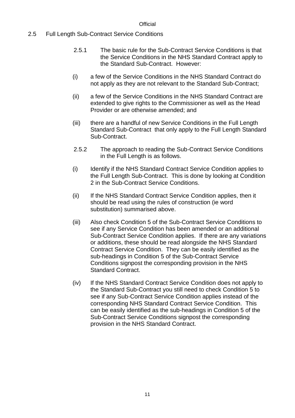## 2.5 Full Length Sub-Contract Service Conditions

- 2.5.1 The basic rule for the Sub-Contract Service Conditions is that the Service Conditions in the NHS Standard Contract apply to the Standard Sub-Contract. However:
- (i) a few of the Service Conditions in the NHS Standard Contract do not apply as they are not relevant to the Standard Sub-Contract;
- (ii) a few of the Service Conditions in the NHS Standard Contract are extended to give rights to the Commissioner as well as the Head Provider or are otherwise amended; and
- (iii) there are a handful of new Service Conditions in the Full Length Standard Sub-Contract that only apply to the Full Length Standard Sub-Contract.
- 2.5.2 The approach to reading the Sub-Contract Service Conditions in the Full Length is as follows.
- (i) Identify if the NHS Standard Contract Service Condition applies to the Full Length Sub-Contract. This is done by looking at Condition 2 in the Sub-Contract Service Conditions.
- (ii) If the NHS Standard Contract Service Condition applies, then it should be read using the rules of construction (ie word substitution) summarised above.
- (iii) Also check Condition 5 of the Sub-Contract Service Conditions to see if any Service Condition has been amended or an additional Sub-Contract Service Condition applies. If there are any variations or additions, these should be read alongside the NHS Standard Contract Service Condition. They can be easily identified as the sub-headings in Condition 5 of the Sub-Contract Service Conditions signpost the corresponding provision in the NHS Standard Contract.
- (iv) If the NHS Standard Contract Service Condition does not apply to the Standard Sub-Contract you still need to check Condition 5 to see if any Sub-Contract Service Condition applies instead of the corresponding NHS Standard Contract Service Condition. This can be easily identified as the sub-headings in Condition 5 of the Sub-Contract Service Conditions signpost the corresponding provision in the NHS Standard Contract.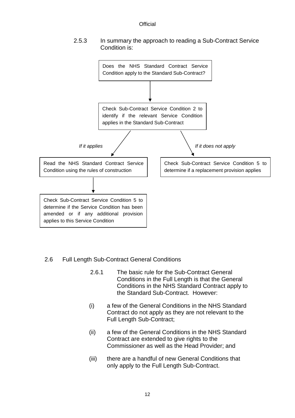

#### 2.5.3 In summary the approach to reading a Sub-Contract Service Condition is:



# 2.6 Full Length Sub-Contract General Conditions

- 2.6.1 The basic rule for the Sub-Contract General Conditions in the Full Length is that the General Conditions in the NHS Standard Contract apply to the Standard Sub-Contract. However:
- (i) a few of the General Conditions in the NHS Standard Contract do not apply as they are not relevant to the Full Length Sub-Contract;
- (ii) a few of the General Conditions in the NHS Standard Contract are extended to give rights to the Commissioner as well as the Head Provider; and
- (iii) there are a handful of new General Conditions that only apply to the Full Length Sub-Contract.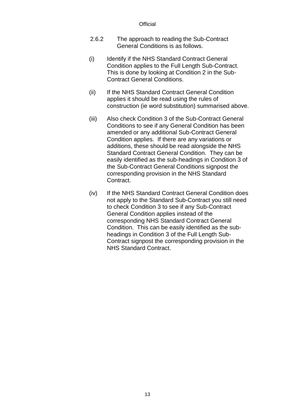- 2.6.2 The approach to reading the Sub-Contract General Conditions is as follows.
- (i) Identify if the NHS Standard Contract General Condition applies to the Full Length Sub-Contract. This is done by looking at Condition 2 in the Sub-Contract General Conditions.
- (ii) If the NHS Standard Contract General Condition applies it should be read using the rules of construction (ie word substitution) summarised above.
- (iii) Also check Condition 3 of the Sub-Contract General Conditions to see if any General Condition has been amended or any additional Sub-Contract General Condition applies. If there are any variations or additions, these should be read alongside the NHS Standard Contract General Condition. They can be easily identified as the sub-headings in Condition 3 of the Sub-Contract General Conditions signpost the corresponding provision in the NHS Standard Contract.
- (iv) If the NHS Standard Contract General Condition does not apply to the Standard Sub-Contract you still need to check Condition 3 to see if any Sub-Contract General Condition applies instead of the corresponding NHS Standard Contract General Condition. This can be easily identified as the subheadings in Condition 3 of the Full Length Sub-Contract signpost the corresponding provision in the NHS Standard Contract.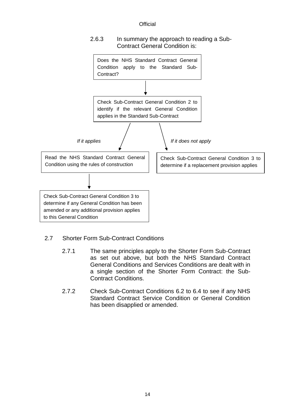#### 2.6.3 In summary the approach to reading a Sub-Contract General Condition is:



- 2.7 Shorter Form Sub-Contract Conditions
	- 2.7.1 The same principles apply to the Shorter Form Sub-Contract as set out above, but both the NHS Standard Contract General Conditions and Services Conditions are dealt with in a single section of the Shorter Form Contract: the Sub-Contract Conditions.
	- 2.7.2 Check Sub-Contract Conditions 6.2 to 6.4 to see if any NHS Standard Contract Service Condition or General Condition has been disapplied or amended.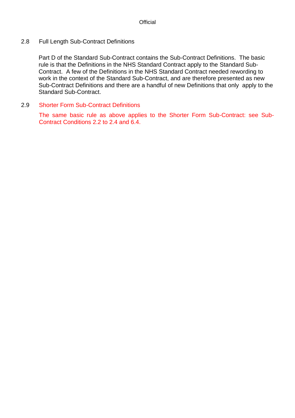#### 2.8 Full Length Sub-Contract Definitions

Part D of the Standard Sub-Contract contains the Sub-Contract Definitions. The basic rule is that the Definitions in the NHS Standard Contract apply to the Standard Sub-Contract. A few of the Definitions in the NHS Standard Contract needed rewording to work in the context of the Standard Sub-Contract, and are therefore presented as new Sub-Contract Definitions and there are a handful of new Definitions that only apply to the Standard Sub-Contract.

2.9 Shorter Form Sub-Contract Definitions

The same basic rule as above applies to the Shorter Form Sub-Contract: see Sub-Contract Conditions 2.2 to 2.4 and 6.4.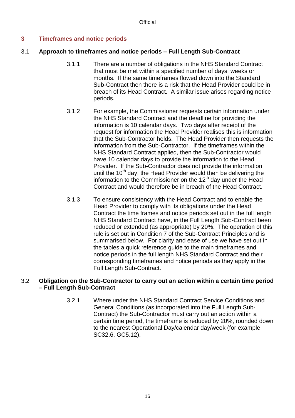# <span id="page-19-0"></span>**3 Timeframes and notice periods**

# 3.1 **Approach to timeframes and notice periods – Full Length Sub-Contract**

- 3.1.1 There are a number of obligations in the NHS Standard Contract that must be met within a specified number of days, weeks or months. If the same timeframes flowed down into the Standard Sub-Contract then there is a risk that the Head Provider could be in breach of its Head Contract. A similar issue arises regarding notice periods.
- 3.1.2 For example, the Commissioner requests certain information under the NHS Standard Contract and the deadline for providing the information is 10 calendar days. Two days after receipt of the request for information the Head Provider realises this is information that the Sub-Contractor holds. The Head Provider then requests the information from the Sub-Contractor. If the timeframes within the NHS Standard Contract applied, then the Sub-Contractor would have 10 calendar days to provide the information to the Head Provider. If the Sub-Contractor does not provide the information until the  $10<sup>th</sup>$  day, the Head Provider would then be delivering the information to the Commissioner on the 12<sup>th</sup> day under the Head Contract and would therefore be in breach of the Head Contract.
- 3.1.3 To ensure consistency with the Head Contract and to enable the Head Provider to comply with its obligations under the Head Contract the time frames and notice periods set out in the full length NHS Standard Contract have, in the Full Length Sub-Contract been reduced or extended (as appropriate) by 20%. The operation of this rule is set out in Condition 7 of the Sub-Contract Principles and is summarised below. For clarity and ease of use we have set out in the tables a quick reference guide to the main timeframes and notice periods in the full length NHS Standard Contract and their corresponding timeframes and notice periods as they apply in the Full Length Sub-Contract.

# 3.2 **Obligation on the Sub-Contractor to carry out an action within a certain time period – Full Length Sub-Contract**

3.2.1 Where under the NHS Standard Contract Service Conditions and General Conditions (as incorporated into the Full Length Sub-Contract) the Sub-Contractor must carry out an action within a certain time period, the timeframe is reduced by 20%, rounded down to the nearest Operational Day/calendar day/week (for example SC32.6, GC5.12).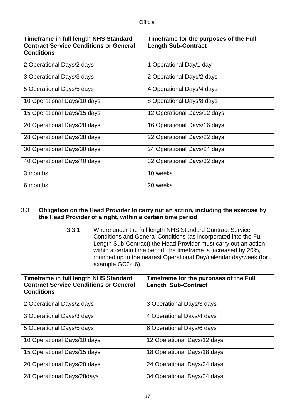| <b>Timeframe in full length NHS Standard</b><br><b>Contract Service Conditions or General</b><br><b>Conditions</b> | Timeframe for the purposes of the Full<br><b>Length Sub-Contract</b> |
|--------------------------------------------------------------------------------------------------------------------|----------------------------------------------------------------------|
| 2 Operational Days/2 days                                                                                          | 1 Operational Day/1 day                                              |
| 3 Operational Days/3 days                                                                                          | 2 Operational Days/2 days                                            |
| 5 Operational Days/5 days                                                                                          | 4 Operational Days/4 days                                            |
| 10 Operational Days/10 days                                                                                        | 8 Operational Days/8 days                                            |
| 15 Operational Days/15 days                                                                                        | 12 Operational Days/12 days                                          |
| 20 Operational Days/20 days                                                                                        | 16 Operational Days/16 days                                          |
| 28 Operational Days/28 days                                                                                        | 22 Operational Days/22 days                                          |
| 30 Operational Days/30 days                                                                                        | 24 Operational Days/24 days                                          |
| 40 Operational Days/40 days                                                                                        | 32 Operational Days/32 days                                          |
| 3 months                                                                                                           | 10 weeks                                                             |
| 6 months                                                                                                           | 20 weeks                                                             |

# 3.3 **Obligation on the Head Provider to carry out an action, including the exercise by the Head Provider of a right, within a certain time period**

3.3.1 Where under the full length NHS Standard Contract Service Conditions and General Conditions (as incorporated into the Full Length Sub-Contract) the Head Provider must carry out an action within a certain time period, the timeframe is increased by 20%, rounded up to the nearest Operational Day/calendar day/week (for example GC24.6).

| Timeframe in full length NHS Standard<br><b>Contract Service Conditions or General</b><br><b>Conditions</b> | Timeframe for the purposes of the Full<br><b>Length Sub-Contract</b> |
|-------------------------------------------------------------------------------------------------------------|----------------------------------------------------------------------|
| 2 Operational Days/2 days                                                                                   | 3 Operational Days/3 days                                            |
| 3 Operational Days/3 days                                                                                   | 4 Operational Days/4 days                                            |
| 5 Operational Days/5 days                                                                                   | 6 Operational Days/6 days                                            |
| 10 Operational Days/10 days                                                                                 | 12 Operational Days/12 days                                          |
| 15 Operational Days/15 days                                                                                 | 18 Operational Days/18 days                                          |
| 20 Operational Days/20 days                                                                                 | 24 Operational Days/24 days                                          |
| 28 Operational Days/28days                                                                                  | 34 Operational Days/34 days                                          |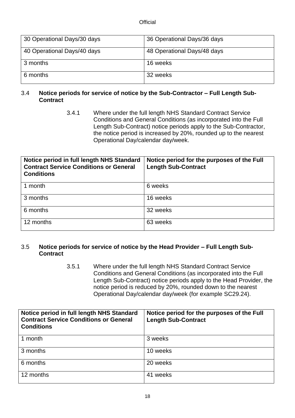| 30 Operational Days/30 days | 36 Operational Days/36 days |
|-----------------------------|-----------------------------|
| 40 Operational Days/40 days | 48 Operational Days/48 days |
| 3 months                    | 16 weeks                    |
| 6 months                    | 32 weeks                    |

## 3.4 **Notice periods for service of notice by the Sub-Contractor – Full Length Sub-Contract**

3.4.1 Where under the full length NHS Standard Contract Service Conditions and General Conditions (as incorporated into the Full Length Sub-Contract) notice periods apply to the Sub-Contractor, the notice period is increased by 20%, rounded up to the nearest Operational Day/calendar day/week.

| Notice period in full length NHS Standard<br><b>Contract Service Conditions or General</b><br><b>Conditions</b> | Notice period for the purposes of the Full<br><b>Length Sub-Contract</b> |
|-----------------------------------------------------------------------------------------------------------------|--------------------------------------------------------------------------|
| 1 month                                                                                                         | 6 weeks                                                                  |
| 3 months                                                                                                        | 16 weeks                                                                 |
| 6 months                                                                                                        | 32 weeks                                                                 |
| 12 months                                                                                                       | 63 weeks                                                                 |

#### 3.5 **Notice periods for service of notice by the Head Provider – Full Length Sub-Contract**

3.5.1 Where under the full length NHS Standard Contract Service Conditions and General Conditions (as incorporated into the Full Length Sub-Contract) notice periods apply to the Head Provider, the notice period is reduced by 20%, rounded down to the nearest Operational Day/calendar day/week (for example SC29.24).

| Notice period in full length NHS Standard<br><b>Contract Service Conditions or General</b><br><b>Conditions</b> | Notice period for the purposes of the Full<br><b>Length Sub-Contract</b> |
|-----------------------------------------------------------------------------------------------------------------|--------------------------------------------------------------------------|
| 1 month                                                                                                         | 3 weeks                                                                  |
| 3 months                                                                                                        | 10 weeks                                                                 |
| 6 months                                                                                                        | 20 weeks                                                                 |
| 12 months                                                                                                       | 41 weeks                                                                 |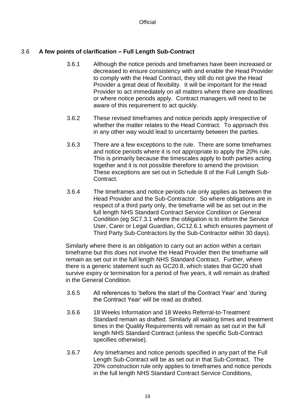# 3.6 **A few points of clarification – Full Length Sub-Contract**

- 3.6.1 Although the notice periods and timeframes have been increased or decreased to ensure consistency with and enable the Head Provider to comply with the Head Contract, they still do not give the Head Provider a great deal of flexibility. It will be important for the Head Provider to act immediately on all matters where there are deadlines or where notice periods apply. Contract managers will need to be aware of this requirement to act quickly.
- 3.6.2 These revised timeframes and notice periods apply irrespective of whether the matter relates to the Head Contract. To approach this in any other way would lead to uncertainty between the parties.
- 3.6.3 There are a few exceptions to the rule. There are some timeframes and notice periods where it is not appropriate to apply the 20% rule. This is primarily because the timescales apply to both parties acting together and it is not possible therefore to amend the provision. These exceptions are set out in Schedule 8 of the Full Length Sub-**Contract**
- 3.6.4 The timeframes and notice periods rule only applies as between the Head Provider and the Sub-Contractor. So where obligations are in respect of a third party only, the timeframe will be as set out in the full length NHS Standard Contract Service Condition or General Condition (eg SC7.3.1 where the obligation is to inform the Service User, Carer or Legal Guardian, GC12.6.1 which ensures payment of Third Party Sub-Contractors by the Sub-Contractor within 30 days).

Similarly where there is an obligation to carry out an action within a certain timeframe but this does not involve the Head Provider then the timeframe will remain as set out in the full length NHS Standard Contract. Further, where there is a generic statement such as GC20.8, which states that GC20 shall survive expiry or termination for a period of five years, it will remain as drafted in the General Condition.

- 3.6.5 All references to 'before the start of the Contract Year' and 'during the Contract Year' will be read as drafted.
- 3.6.6 18 Weeks Information and 18 Weeks Referral-to-Treatment Standard remain as drafted. Similarly all waiting times and treatment times in the Quality Requirements will remain as set out in the full length NHS Standard Contract (unless the specific Sub-Contract specifies otherwise).
- 3.6.7 Any timeframes and notice periods specified in any part of the Full Length Sub-Contract will be as set out in that Sub-Contract. The 20% construction rule only applies to timeframes and notice periods in the full length NHS Standard Contract Service Conditions,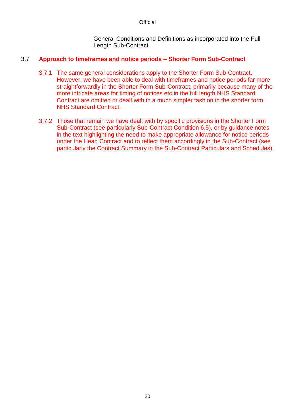General Conditions and Definitions as incorporated into the Full Length Sub-Contract.

## 3.7 **Approach to timeframes and notice periods – Shorter Form Sub-Contract**

- 3.7.1 The same general considerations apply to the Shorter Form Sub-Contract. However, we have been able to deal with timeframes and notice periods far more straightforwardly in the Shorter Form Sub-Contract, primarily because many of the more intricate areas for timing of notices etc in the full length NHS Standard Contract are omitted or dealt with in a much simpler fashion in the shorter form NHS Standard Contract.
- 3.7.2 Those that remain we have dealt with by specific provisions in the Shorter Form Sub-Contract (see particularly Sub-Contract Condition 6.5), or by guidance notes in the text highlighting the need to make appropriate allowance for notice periods under the Head Contract and to reflect them accordingly in the Sub-Contract (see particularly the Contract Summary in the Sub-Contract Particulars and Schedules).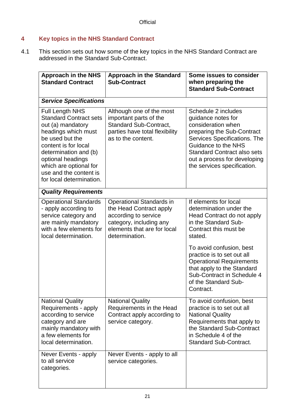# <span id="page-24-0"></span>**4 Key topics in the NHS Standard Contract**

4.1 This section sets out how some of the key topics in the NHS Standard Contract are addressed in the Standard Sub-Contract.

| <b>Approach in the NHS</b><br><b>Standard Contract</b>                                                                                                                                                                                                                       | <b>Approach in the Standard</b><br><b>Sub-Contract</b>                                                                                                  | Some issues to consider<br>when preparing the<br><b>Standard Sub-Contract</b>                                                                                                                                                                             |
|------------------------------------------------------------------------------------------------------------------------------------------------------------------------------------------------------------------------------------------------------------------------------|---------------------------------------------------------------------------------------------------------------------------------------------------------|-----------------------------------------------------------------------------------------------------------------------------------------------------------------------------------------------------------------------------------------------------------|
| <b>Service Specifications</b>                                                                                                                                                                                                                                                |                                                                                                                                                         |                                                                                                                                                                                                                                                           |
| <b>Full Length NHS</b><br><b>Standard Contract sets</b><br>out (a) mandatory<br>headings which must<br>be used but the<br>content is for local<br>determination and (b)<br>optional headings<br>which are optional for<br>use and the content is<br>for local determination. | Although one of the most<br>important parts of the<br><b>Standard Sub-Contract,</b><br>parties have total flexibility<br>as to the content.             | Schedule 2 includes<br>guidance notes for<br>consideration when<br>preparing the Sub-Contract<br>Services Specifications. The<br>Guidance to the NHS<br><b>Standard Contract also sets</b><br>out a process for developing<br>the services specification. |
| <b>Quality Requirements</b>                                                                                                                                                                                                                                                  |                                                                                                                                                         |                                                                                                                                                                                                                                                           |
| <b>Operational Standards</b><br>- apply according to<br>service category and<br>are mainly mandatory<br>with a few elements for<br>local determination.                                                                                                                      | Operational Standards in<br>the Head Contract apply<br>according to service<br>category, including any<br>elements that are for local<br>determination. | If elements for local<br>determination under the<br>Head Contract do not apply<br>in the Standard Sub-<br>Contract this must be<br>stated.<br>To avoid confusion, best<br>practice is to set out all<br><b>Operational Requirements</b>                   |
|                                                                                                                                                                                                                                                                              |                                                                                                                                                         | that apply to the Standard<br>Sub-Contract in Schedule 4<br>of the Standard Sub-<br>Contract.                                                                                                                                                             |
| <b>National Quality</b><br>Requirements - apply<br>according to service<br>category and are<br>mainly mandatory with<br>a few elements for<br>local determination.                                                                                                           | <b>National Quality</b><br>Requirements in the Head<br>Contract apply according to<br>service category.                                                 | To avoid confusion, best<br>practice is to set out all<br><b>National Quality</b><br>Requirements that apply to<br>the Standard Sub-Contract<br>in Schedule 4 of the<br><b>Standard Sub-Contract.</b>                                                     |
| Never Events - apply<br>to all service<br>categories.                                                                                                                                                                                                                        | Never Events - apply to all<br>service categories.                                                                                                      |                                                                                                                                                                                                                                                           |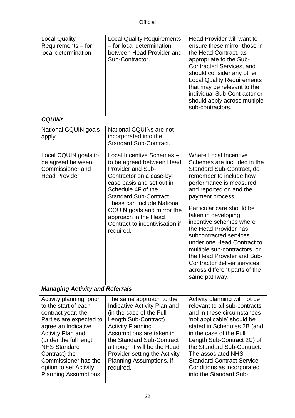| <b>Local Quality</b><br>Requirements – for<br>local determination.                                                                                                                                                                                                                                       | <b>Local Quality Requirements</b><br>- for local determination<br>between Head Provider and<br>Sub-Contractor.                                                                                                                                                                                                                 | Head Provider will want to<br>ensure these mirror those in<br>the Head Contract, as<br>appropriate to the Sub-<br>Contracted Services, and<br>should consider any other<br><b>Local Quality Requirements</b><br>that may be relevant to the<br>individual Sub-Contractor or<br>should apply across multiple<br>sub-contractors.                                                                                                                                                                              |  |
|----------------------------------------------------------------------------------------------------------------------------------------------------------------------------------------------------------------------------------------------------------------------------------------------------------|--------------------------------------------------------------------------------------------------------------------------------------------------------------------------------------------------------------------------------------------------------------------------------------------------------------------------------|--------------------------------------------------------------------------------------------------------------------------------------------------------------------------------------------------------------------------------------------------------------------------------------------------------------------------------------------------------------------------------------------------------------------------------------------------------------------------------------------------------------|--|
| <b>CQUINS</b>                                                                                                                                                                                                                                                                                            |                                                                                                                                                                                                                                                                                                                                |                                                                                                                                                                                                                                                                                                                                                                                                                                                                                                              |  |
| National CQUIN goals<br>apply.                                                                                                                                                                                                                                                                           | National CQUINs are not<br>incorporated into the<br><b>Standard Sub-Contract.</b>                                                                                                                                                                                                                                              |                                                                                                                                                                                                                                                                                                                                                                                                                                                                                                              |  |
| Local CQUIN goals to<br>be agreed between<br>Commissioner and<br>Head Provider.                                                                                                                                                                                                                          | Local Incentive Schemes -<br>to be agreed between Head<br>Provider and Sub-<br>Contractor on a case-by-<br>case basis and set out in<br>Schedule 4F of the<br><b>Standard Sub-Contract.</b><br>These can include National<br>CQUIN goals and mirror the<br>approach in the Head<br>Contract to incentivisation if<br>required. | <b>Where Local Incentive</b><br>Schemes are included in the<br>Standard Sub-Contract, do<br>remember to include how<br>performance is measured<br>and reported on and the<br>payment process.<br>Particular care should be<br>taken in developing<br>incentive schemes where<br>the Head Provider has<br>subcontracted services<br>under one Head Contract to<br>multiple sub-contractors, or<br>the Head Provider and Sub-<br>Contractor deliver services<br>across different parts of the<br>same pathway. |  |
| <b>Managing Activity and Referrals</b>                                                                                                                                                                                                                                                                   |                                                                                                                                                                                                                                                                                                                                |                                                                                                                                                                                                                                                                                                                                                                                                                                                                                                              |  |
| Activity planning: prior<br>to the start of each<br>contract year, the<br>Parties are expected to<br>agree an Indicative<br><b>Activity Plan and</b><br>(under the full length<br><b>NHS Standard</b><br>Contract) the<br>Commissioner has the<br>option to set Activity<br><b>Planning Assumptions.</b> | The same approach to the<br>Indicative Activity Plan and<br>(in the case of the Full<br>Length Sub-Contract)<br><b>Activity Planning</b><br>Assumptions are taken in<br>the Standard Sub-Contract<br>although it will be the Head<br><b>Provider setting the Activity</b><br>Planning Assumptions, if<br>required.             | Activity planning will not be<br>relevant to all sub-contracts<br>and in these circumstances<br>'not applicable' should be<br>stated in Schedules 2B (and<br>in the case of the Full<br>Length Sub-Contract 2C) of<br>the Standard Sub-Contract.<br>The associated NHS<br><b>Standard Contract Service</b><br>Conditions as incorporated<br>into the Standard Sub-                                                                                                                                           |  |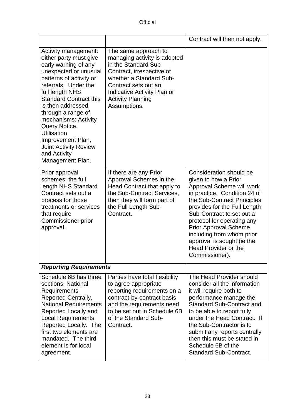|                                                                                                                                                                                                                                                                                                                                                                                                           |                                                                                                                                                                                                                                         | Contract will then not apply.                                                                                                                                                                                                                                                                                                                                               |  |
|-----------------------------------------------------------------------------------------------------------------------------------------------------------------------------------------------------------------------------------------------------------------------------------------------------------------------------------------------------------------------------------------------------------|-----------------------------------------------------------------------------------------------------------------------------------------------------------------------------------------------------------------------------------------|-----------------------------------------------------------------------------------------------------------------------------------------------------------------------------------------------------------------------------------------------------------------------------------------------------------------------------------------------------------------------------|--|
| Activity management:<br>either party must give<br>early warning of any<br>unexpected or unusual<br>patterns of activity or<br>referrals. Under the<br>full length NHS<br><b>Standard Contract this</b><br>is then addressed<br>through a range of<br>mechanisms: Activity<br>Query Notice,<br><b>Utilisation</b><br>Improvement Plan,<br><b>Joint Activity Review</b><br>and Activity<br>Management Plan. | The same approach to<br>managing activity is adopted<br>in the Standard Sub-<br>Contract, irrespective of<br>whether a Standard Sub-<br>Contract sets out an<br>Indicative Activity Plan or<br><b>Activity Planning</b><br>Assumptions. |                                                                                                                                                                                                                                                                                                                                                                             |  |
| Prior approval<br>schemes: the full<br>length NHS Standard<br>Contract sets out a<br>process for those<br>treatments or services<br>that require<br><b>Commissioner prior</b><br>approval.                                                                                                                                                                                                                | If there are any Prior<br>Approval Schemes in the<br>Head Contract that apply to<br>the Sub-Contract Services,<br>then they will form part of<br>the Full Length Sub-<br>Contract.                                                      | Consideration should be<br>given to how a Prior<br>Approval Scheme will work<br>in practice. Condition 24 of<br>the Sub-Contract Principles<br>provides for the Full Length<br>Sub-Contract to set out a<br>protocol for operating any<br><b>Prior Approval Scheme</b><br>including from whom prior<br>approval is sought (ie the<br>Head Provider or the<br>Commissioner). |  |
| <b>Reporting Requirements</b>                                                                                                                                                                                                                                                                                                                                                                             |                                                                                                                                                                                                                                         |                                                                                                                                                                                                                                                                                                                                                                             |  |
| Schedule 6B has three<br>sections: National<br>Requirements<br><b>Reported Centrally,</b><br><b>National Requirements</b><br>Reported Locally and<br><b>Local Requirements</b><br>Reported Locally. The<br>first two elements are<br>mandated. The third<br>element is for local<br>agreement.                                                                                                            | Parties have total flexibility<br>to agree appropriate<br>reporting requirements on a<br>contract-by-contract basis<br>and the requirements need<br>to be set out in Schedule 6B<br>of the Standard Sub-<br>Contract.                   | The Head Provider should<br>consider all the information<br>it will require both to<br>performance manage the<br><b>Standard Sub-Contract and</b><br>to be able to report fully<br>under the Head Contract. If<br>the Sub-Contractor is to<br>submit any reports centrally<br>then this must be stated in<br>Schedule 6B of the<br><b>Standard Sub-Contract.</b>            |  |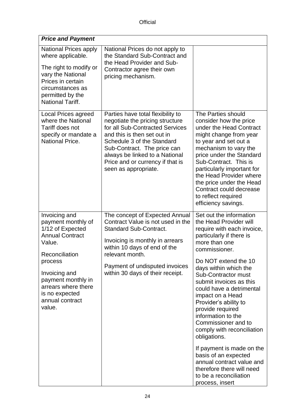| <b>Price and Payment</b>                                                                                                                                                                                                              |                                                                                                                                                                                                                                                                                                   |                                                                                                                                                                                                                                                                                                                                                                                                                                          |  |
|---------------------------------------------------------------------------------------------------------------------------------------------------------------------------------------------------------------------------------------|---------------------------------------------------------------------------------------------------------------------------------------------------------------------------------------------------------------------------------------------------------------------------------------------------|------------------------------------------------------------------------------------------------------------------------------------------------------------------------------------------------------------------------------------------------------------------------------------------------------------------------------------------------------------------------------------------------------------------------------------------|--|
| <b>National Prices apply</b><br>where applicable.<br>The right to modify or<br>vary the National<br>Prices in certain<br>circumstances as<br>permitted by the<br><b>National Tariff.</b>                                              | National Prices do not apply to<br>the Standard Sub-Contract and<br>the Head Provider and Sub-<br>Contractor agree their own<br>pricing mechanism.                                                                                                                                                |                                                                                                                                                                                                                                                                                                                                                                                                                                          |  |
| <b>Local Prices agreed</b><br>where the National<br>Tariff does not<br>specify or mandate a<br><b>National Price.</b>                                                                                                                 | Parties have total flexibility to<br>negotiate the pricing structure<br>for all Sub-Contracted Services<br>and this is then set out in<br>Schedule 3 of the Standard<br>Sub-Contract. The price can<br>always be linked to a National<br>Price and or currency if that is<br>seen as appropriate. | The Parties should<br>consider how the price<br>under the Head Contract<br>might change from year<br>to year and set out a<br>mechanism to vary the<br>price under the Standard<br>Sub-Contract. This is<br>particularly important for<br>the Head Provider where<br>the price under the Head<br>Contract could decrease<br>to reflect required<br>efficiency savings.                                                                   |  |
| Invoicing and<br>payment monthly of<br>1/12 of Expected<br><b>Annual Contract</b><br>Value.<br>Reconciliation<br>process<br>Invoicing and<br>payment monthly in<br>arrears where there<br>is no expected<br>annual contract<br>value. | The concept of Expected Annual<br>Contract Value is not used in the<br><b>Standard Sub-Contract.</b><br>Invoicing is monthly in arrears<br>within 10 days of end of the<br>relevant month.<br>Payment of undisputed invoices<br>within 30 days of their receipt.                                  | Set out the information<br>the Head Provider will<br>require with each invoice,<br>particularly if there is<br>more than one<br>commissioner.<br>Do NOT extend the 10<br>days within which the<br>Sub-Contractor must<br>submit invoices as this<br>could have a detrimental<br>impact on a Head<br>Provider's ability to<br>provide required<br>information to the<br>Commissioner and to<br>comply with reconciliation<br>obligations. |  |
|                                                                                                                                                                                                                                       |                                                                                                                                                                                                                                                                                                   | If payment is made on the<br>basis of an expected<br>annual contract value and<br>therefore there will need<br>to be a reconciliation<br>process, insert                                                                                                                                                                                                                                                                                 |  |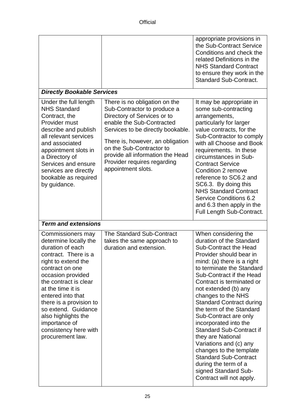|                                                                                                                                                                                                                                                                                                                                                                 |                                                                                                                                                                                                                                                                                                                        | appropriate provisions in<br>the Sub-Contract Service<br>Conditions and check the<br>related Definitions in the<br><b>NHS Standard Contract</b><br>to ensure they work in the<br><b>Standard Sub-Contract.</b>                                                                                                                                                                                                                                                                                                                                                                                                          |  |
|-----------------------------------------------------------------------------------------------------------------------------------------------------------------------------------------------------------------------------------------------------------------------------------------------------------------------------------------------------------------|------------------------------------------------------------------------------------------------------------------------------------------------------------------------------------------------------------------------------------------------------------------------------------------------------------------------|-------------------------------------------------------------------------------------------------------------------------------------------------------------------------------------------------------------------------------------------------------------------------------------------------------------------------------------------------------------------------------------------------------------------------------------------------------------------------------------------------------------------------------------------------------------------------------------------------------------------------|--|
| <b>Directly Bookable Services</b>                                                                                                                                                                                                                                                                                                                               |                                                                                                                                                                                                                                                                                                                        |                                                                                                                                                                                                                                                                                                                                                                                                                                                                                                                                                                                                                         |  |
| Under the full length<br><b>NHS Standard</b><br>Contract, the<br>Provider must<br>describe and publish<br>all relevant services<br>and associated<br>appointment slots in<br>a Directory of<br>Services and ensure<br>services are directly<br>bookable as required<br>by guidance.                                                                             | There is no obligation on the<br>Sub-Contractor to produce a<br>Directory of Services or to<br>enable the Sub-Contracted<br>Services to be directly bookable.<br>There is, however, an obligation<br>on the Sub-Contractor to<br>provide all information the Head<br>Provider requires regarding<br>appointment slots. | It may be appropriate in<br>some sub-contracting<br>arrangements,<br>particularly for larger<br>value contracts, for the<br>Sub-Contractor to comply<br>with all Choose and Book<br>requirements. In these<br>circumstances in Sub-<br><b>Contract Service</b><br>Condition 2 remove<br>reference to SC6.2 and<br>SC6.3. By doing this<br><b>NHS Standard Contract</b><br><b>Service Conditions 6.2</b><br>and 6.3 then apply in the<br>Full Length Sub-Contract.                                                                                                                                                       |  |
| <b>Term and extensions</b>                                                                                                                                                                                                                                                                                                                                      |                                                                                                                                                                                                                                                                                                                        |                                                                                                                                                                                                                                                                                                                                                                                                                                                                                                                                                                                                                         |  |
| Commissioners may<br>determine locally the<br>duration of each<br>contract. There is a<br>right to extend the<br>contract on one<br>occasion provided<br>the contract is clear<br>at the time it is<br>entered into that<br>there is a provision to<br>so extend. Guidance<br>also highlights the<br>importance of<br>consistency here with<br>procurement law. | <b>The Standard Sub-Contract</b><br>takes the same approach to<br>duration and extension.                                                                                                                                                                                                                              | When considering the<br>duration of the Standard<br><b>Sub-Contract the Head</b><br>Provider should bear in<br>mind: (a) there is a right<br>to terminate the Standard<br>Sub-Contract if the Head<br>Contract is terminated or<br>not extended (b) any<br>changes to the NHS<br><b>Standard Contract during</b><br>the term of the Standard<br>Sub-Contract are only<br>incorporated into the<br><b>Standard Sub-Contract if</b><br>they are National<br>Variations and (c) any<br>changes to the template<br><b>Standard Sub-Contract</b><br>during the term of a<br>signed Standard Sub-<br>Contract will not apply. |  |